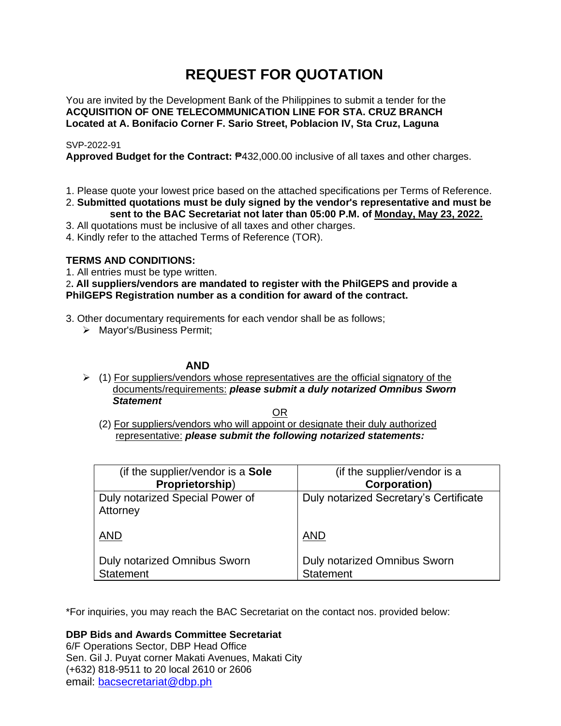# **REQUEST FOR QUOTATION**

You are invited by the Development Bank of the Philippines to submit a tender for the **ACQUISITION OF ONE TELECOMMUNICATION LINE FOR STA. CRUZ BRANCH Located at A. Bonifacio Corner F. Sario Street, Poblacion IV, Sta Cruz, Laguna**

### SVP-2022-91

**Approved Budget for the Contract:** ₱432,000.00 inclusive of all taxes and other charges.

- 1. Please quote your lowest price based on the attached specifications per Terms of Reference.
- 2. **Submitted quotations must be duly signed by the vendor's representative and must be sent to the BAC Secretariat not later than 05:00 P.M. of Monday, May 23, 2022.**
- 3. All quotations must be inclusive of all taxes and other charges.
- 4. Kindly refer to the attached Terms of Reference (TOR).

### **TERMS AND CONDITIONS:**

1. All entries must be type written.

2**. All suppliers/vendors are mandated to register with the PhilGEPS and provide a PhilGEPS Registration number as a condition for award of the contract.**

- 3. Other documentary requirements for each vendor shall be as follows;
	- ➢ Mayor's/Business Permit;

### **AND**

 $\geq$  (1) For suppliers/vendors whose representatives are the official signatory of the documents/requirements: *please submit a duly notarized Omnibus Sworn Statement*

<u>OR Starting and the Starting OR Starting</u>

(2) For suppliers/vendors who will appoint or designate their duly authorized representative: *please submit the following notarized statements:*

| (if the supplier/vendor is a Sole                       | (if the supplier/vendor is a                     |
|---------------------------------------------------------|--------------------------------------------------|
| Proprietorship)                                         | <b>Corporation</b> )                             |
| Duly notarized Special Power of<br>Attorney             | Duly notarized Secretary's Certificate           |
| <b>AND</b>                                              | <b>AND</b>                                       |
| <b>Duly notarized Omnibus Sworn</b><br><b>Statement</b> | Duly notarized Omnibus Sworn<br><b>Statement</b> |

\*For inquiries, you may reach the BAC Secretariat on the contact nos. provided below:

**DBP Bids and Awards Committee Secretariat**  6/F Operations Sector, DBP Head Office

Sen. Gil J. Puyat corner Makati Avenues, Makati City (+632) 818-9511 to 20 local 2610 or 2606 email: [bacsecretariat@dbp.ph](mailto:bacsecretariat@dbp.ph)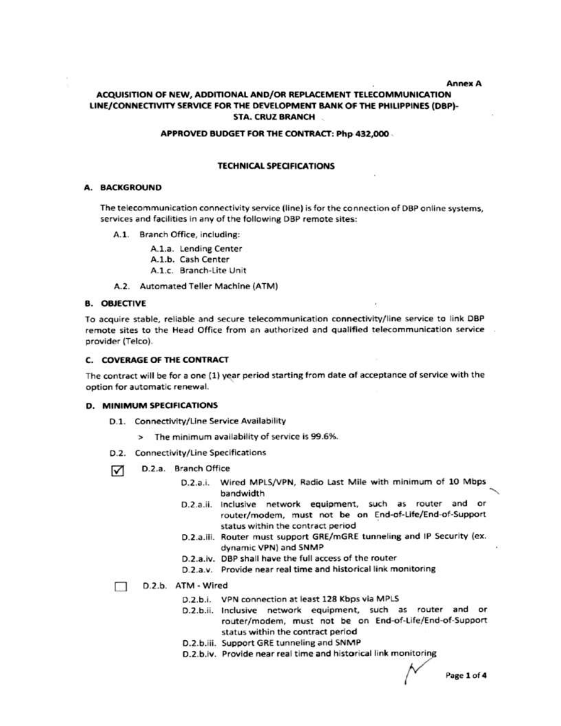**Annex A** 

### ACQUISITION OF NEW, ADDITIONAL AND/OR REPLACEMENT TELECOMMUNICATION LINE/CONNECTIVITY SERVICE FOR THE DEVELOPMENT BANK OF THE PHILIPPINES (DBP)-**STA. CRUZ BRANCH**

#### APPROVED BUDGET FOR THE CONTRACT: Php 432,000

### **TECHNICAL SPECIFICATIONS**

### **A. BACKGROUND**

The telecommunication connectivity service (line) is for the connection of DBP online systems, services and facilities in any of the following DBP remote sites:

A.1. Branch Office, including:

A.1.a. Lending Center

- A.1.b. Cash Center
- A.1.c. Branch-Lite Unit
- A.2. Automated Teller Machine (ATM)

#### **B. OBJECTIVE**

To acquire stable, reliable and secure telecommunication connectivity/line service to link DBP remote sites to the Head Office from an authorized and qualified telecommunication service provider (Telco).

#### **C. COVERAGE OF THE CONTRACT**

The contract will be for a one (1) year period starting from date of acceptance of service with the option for automatic renewal.

#### **D. MINIMUM SPECIFICATIONS**

- D.1. Connectivity/Line Service Availability
	- > The minimum availability of service is 99.6%.
- D.2. Connectivity/Line Specifications
- D.2.a. Branch Office ☑
	- D.2.a.i. Wired MPLS/VPN, Radio Last Mile with minimum of 10 Mbps bandwidth
	- D.2.a.ii. Inclusive network equipment, such as router and or router/modem, must not be on End-of-Life/End-of-Support status within the contract period
	- D.2.a.iii. Router must support GRE/mGRE tunneling and IP Security (ex. dynamic VPN) and SNMP
	- D.2.a.iv. DBP shall have the full access of the router
	- D.2.a.v. Provide near real time and historical link monitoring
- D.2.b. ATM Wired П.
	- D.2.b.i. VPN connection at least 128 Kbps via MPLS
	- D.2.b.ii. Inclusive network equipment, such as router and or router/modem, must not be on End-of-Life/End-of-Support status within the contract period
	- D.2.b.iii. Support GRE tunneling and SNMP
	- D.2.b.iv. Provide near real time and historical link monitoring

Page 1 of 4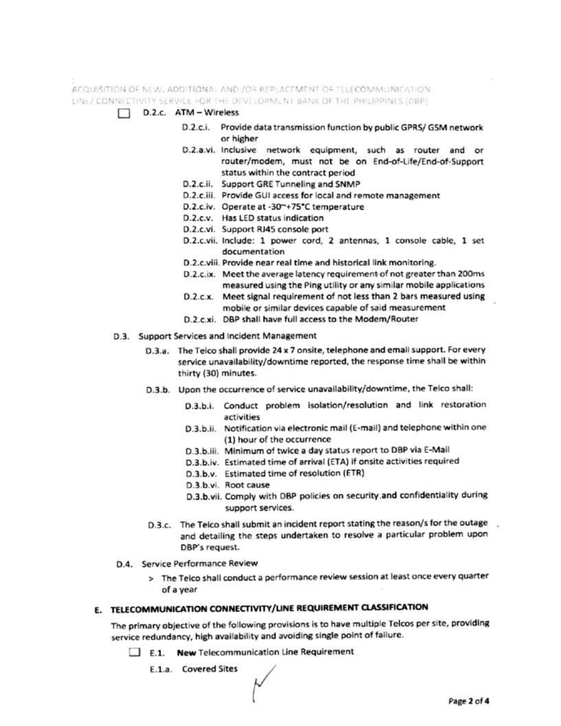ACQUISITION OF NEW, ADDITIONAL AND JOR REPLACEMENT OF TELECOMMUNICATION. LINE/ CONNECTIVITY SERVICE FOR THE DEVELOPMENT BANK OF THE PHILIPPINES (DBP)

- D.2.c. ATM Wireless  $\Box$ 
	- D.2.c.i. Provide data transmission function by public GPRS/ GSM network or higher
	- D.2.a.vi. Inclusive network equipment, such as router and or router/modem, must not be on End-of-Life/End-of-Support status within the contract period
	- D.2.c.ii. Support GRE Tunneling and SNMP
	- D.2.c.iii. Provide GUI access for local and remote management
	- D.2.c.iv. Operate at -30~+75°C temperature
	- D.2.c.v. Has LED status indication
	- D.2.c.vi. Support RJ45 console port
	- D.2.c.vii. Include: 1 power cord, 2 antennas, 1 console cable, 1 set documentation
	- D.2.c.viii. Provide near real time and historical link monitoring.
	- D.2.c.ix. Meet the average latency requirement of not greater than 200ms measured using the Ping utility or any similar mobile applications
	- D.2.c.x. Meet signal requirement of not less than 2 bars measured using mobile or similar devices capable of said measurement
	- D.2.c.xi. DBP shall have full access to the Modem/Router
- D.3. Support Services and Incident Management
	- D.3.a. The Telco shall provide 24 x 7 onsite, telephone and email support. For every service unavailability/downtime reported, the response time shall be within thirty (30) minutes.
	- D.3.b. Upon the occurrence of service unavailability/downtime, the Telco shall:
		- D.3.b.i. Conduct problem isolation/resolution and link restoration activities
		- D.3.b.ii. Notification via electronic mail (E-mail) and telephone within one (1) hour of the occurrence
		- D.3.b.iii. Minimum of twice a day status report to DBP via E-Mail
		- D.3.b.iv. Estimated time of arrival (ETA) if onsite activities required
		- D.3.b.v. Estimated time of resolution (ETR)
		- D.3.b.vi. Root cause
		- D.3.b.vii. Comply with DBP policies on security and confidentiality during support services.
	- D.3.c. The Telco shall submit an incident report stating the reason/s for the outage and detailing the steps undertaken to resolve a particular problem upon DBP's request.
- D.4. Service Performance Review
	- > The Telco shall conduct a performance review session at least once every quarter of a year

# E. TELECOMMUNICATION CONNECTIVITY/LINE REQUIREMENT CLASSIFICATION

The primary objective of the following provisions is to have multiple Telcos per site, providing service redundancy, high availability and avoiding single point of failure.

- E.1. New Telecommunication Line Requirement
	- E.1.a. Covered Sites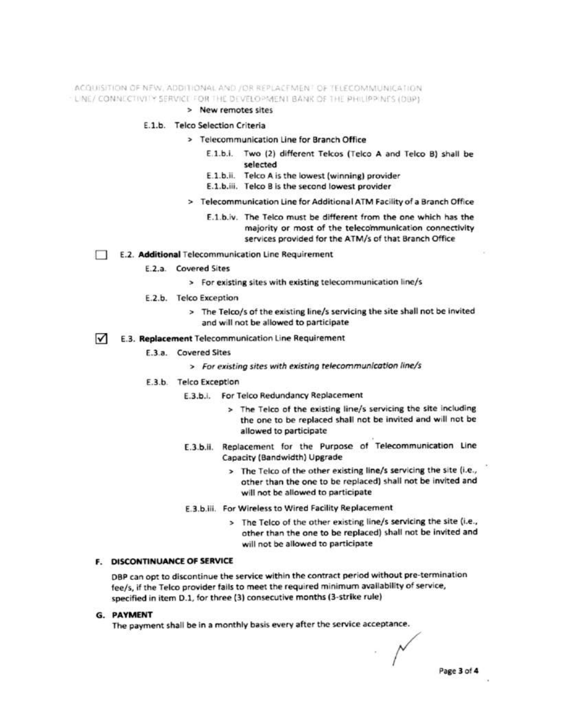ACQUISITION OF NEW, ADDITIONAL AND JOR REPLACEMENT OF TELECOMMUNICATION - LINE/ CONNECTIVITY SERVICE FOR THE DEVELOPMENT BANK OF THE PHILIPPINES (DBP).

> New remotes sites

### E.1.b. Telco Selection Criteria

- > Telecommunication Line for Branch Office
	- E.1.b.i. Two (2) different Telcos (Telco A and Telco B) shall be selected
	- E.1.b.ii. Telco A is the lowest (winning) provider
	- E.1.b.iii. Telco B is the second lowest provider
- > Telecommunication Line for Additional ATM Facility of a Branch Office
	- E.1.b.iv. The Telco must be different from the one which has the majority or most of the telecommunication connectivity services provided for the ATM/s of that Branch Office

E.2. Additional Telecommunication Line Requirement

- E.2.a. Covered Sites
	- > For existing sites with existing telecommunication line/s
- E.2.b. Telco Exception
	- > The Telco/s of the existing line/s servicing the site shall not be invited and will not be allowed to participate
- $\sqrt{\phantom{a}}$  E.3. Replacement Telecommunication Line Requirement
	- E.3.a. Covered Sites
		- > For existing sites with existing telecommunication line/s
	- E.3.b. Telco Exception
		- E.3.b.i. For Telco Redundancy Replacement
			- > The Telco of the existing line/s servicing the site including the one to be replaced shall not be invited and will not be allowed to participate
		- E.3.b.ii. Replacement for the Purpose of Telecommunication Line Capacity (Bandwidth) Upgrade
			- > The Telco of the other existing line/s servicing the site (i.e., other than the one to be replaced) shall not be invited and will not be allowed to participate
		- E.3.b.iii. For Wireless to Wired Facility Replacement
			- > The Telco of the other existing line/s servicing the site (i.e., other than the one to be replaced) shall not be invited and will not be allowed to participate

#### F. DISCONTINUANCE OF SERVICE

DBP can opt to discontinue the service within the contract period without pre-termination fee/s, if the Telco provider fails to meet the required minimum availability of service, specified in item D.1, for three (3) consecutive months (3-strike rule)

#### **G. PAYMENT**

The payment shall be in a monthly basis every after the service acceptance.